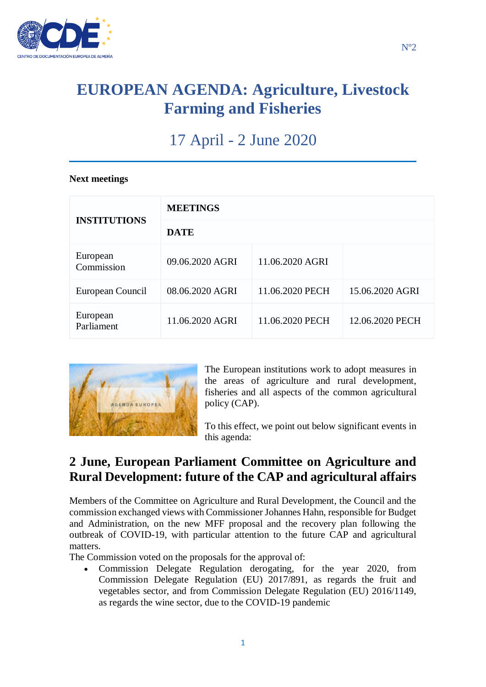

## **EUROPEAN AGENDA: Agriculture, Livestock Farming and Fisheries**

# 17 April - 2 June 2020

#### **Next meetings**

| <b>INSTITUTIONS</b>    | <b>MEETINGS</b> |                 |                 |
|------------------------|-----------------|-----------------|-----------------|
|                        | <b>DATE</b>     |                 |                 |
| European<br>Commission | 09.06.2020 AGRI | 11.06.2020 AGRI |                 |
| European Council       | 08.06.2020 AGRI | 11.06.2020 PECH | 15.06.2020 AGRI |
| European<br>Parliament | 11.06.2020 AGRI | 11.06.2020 PECH | 12.06.2020 PECH |



The European institutions work to adopt measures in the areas of agriculture and rural development, fisheries and all aspects of the common agricultural policy (CAP).

To this effect, we point out below significant events in this agenda:

### **2 June, European Parliament Committee on Agriculture and Rural Development: future of the CAP and agricultural affairs**

Members of the Committee on Agriculture and Rural Development, the Council and the commission exchanged views with Commissioner Johannes Hahn, responsible for Budget and Administration, on the new MFF proposal and the recovery plan following the outbreak of COVID-19, with particular attention to the future CAP and agricultural matters.

The Commission voted on the proposals for the approval of:

 Commission Delegate Regulation derogating, for the year 2020, from Commission Delegate Regulation (EU) 2017/891, as regards the fruit and vegetables sector, and from Commission Delegate Regulation (EU) 2016/1149, as regards the wine sector, due to the COVID-19 pandemic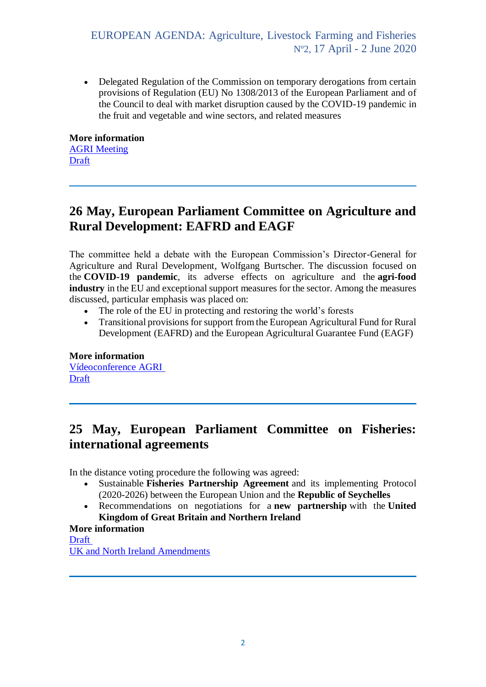EUROPEAN AGENDA: Agriculture, Livestock Farming and Fisheries Nº2, 17 April - 2 June 2020

• Delegated Regulation of the Commission on temporary derogations from certain provisions of Regulation (EU) No 1308/2013 of the European Parliament and of the Council to deal with market disruption caused by the COVID-19 pandemic in the fruit and vegetable and wine sectors, and related measures

**More information** [AGRI Meeting](https://multimedia.europarl.europa.eu/es/agri-committee-meeting_20200602-0900-COMMITTEE-AGRI_vd) [Draft](https://emeeting.europarl.europa.eu/emeeting/committee/agenda/202006/AGRI?meeting=AGRI-2020-0602_1&session=06-02-09-00)

### **26 May, European Parliament Committee on Agriculture and Rural Development: EAFRD and EAGF**

The committee held a debate with the European Commission's Director-General for Agriculture and Rural Development, Wolfgang Burtscher. The discussion focused on the **COVID-19 pandemic**, its adverse effects on agriculture and the **agri-food industry** in the EU and exceptional support measures for the sector. Among the measures discussed, particular emphasis was placed on:

- The role of the EU in protecting and restoring the world's forests
- Transitional provisions for support from the European Agricultural Fund for Rural Development (EAFRD) and the European Agricultural Guarantee Fund (EAGF)

**More information** [Vídeoconference AGRI](https://multimedia.europarl.europa.eu/en/agri-committee-meeting_20200526-1000-COMMITTEE-AGRI_vd) **[Draft](https://www.europarl.europa.eu/meetdocs/2014_2019/plmrep/COMMITTEES/AGRI/DV/2020/05-26/1205606ES.pdf)** 

### **25 May, European Parliament Committee on Fisheries: international agreements**

In the distance voting procedure the following was agreed:

- Sustainable **Fisheries Partnership Agreement** and its implementing Protocol (2020-2026) between the European Union and the **Republic of Seychelles**
- Recommendations on negotiations for a **new partnership** with the **United Kingdom of Great Britain and Northern Ireland**

#### **More information**

[Draft](https://www.europarl.europa.eu/meetdocs/2014_2019/plmrep/COMMITTEES/PECH/OJ/2020/05-25/1204880ES.pdf) [UK and North Ireland Amendments](https://www.europarl.europa.eu/meetdocs/2014_2019/plmrep/COMMITTEES/PECH/DV/2020/05-25/VotingList_Amendments_EN.pdf)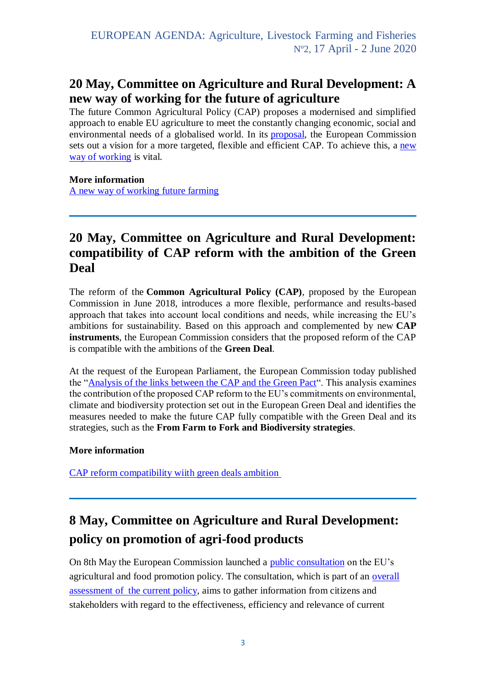### **20 May, Committee on Agriculture and Rural Development: A new way of working for the future of agriculture**

The future Common Agricultural Policy (CAP) proposes a modernised and simplified approach to enable EU agriculture to meet the constantly changing economic, social and environmental needs of a globalised world. In its [proposal,](https://ec.europa.eu/info/food-farming-fisheries/key-policies/common-agricultural-policy/future-cap_es#proposal) the European Commission sets out a vision for a more targeted, flexible and efficient CAP. To achieve this, a new [way of working](https://ec.europa.eu/info/food-farming-fisheries/key-policies/common-agricultural-policy/future-cap_es#a-new-way-of-working) is vital.

#### **More information**

[A new way of working future farming](https://ec.europa.eu/info/news/new-way-working-future-farming-2020-may-20_es)

### **20 May, Committee on Agriculture and Rural Development: compatibility of CAP reform with the ambition of the Green Deal**

The reform of the **Common Agricultural Policy (CAP)**, proposed by the European Commission in June 2018, introduces a more flexible, performance and results-based approach that takes into account local conditions and needs, while increasing the EU's ambitions for sustainability. Based on this approach and complemented by new **CAP instruments**, the European Commission considers that the proposed reform of the CAP is compatible with the ambitions of the **Green Deal**.

At the request of the European Parliament, the European Commission today published the ["Analysis of the links between the CAP and the Green Pact"](https://ec.europa.eu/info/sites/info/files/food-farming-fisheries/sustainability_and_natural_resources/documents/analysis-of-links-between-cap-and-green-deal_en.pdf). This analysis examines the contribution of the proposed CAP reform to the EU's commitments on environmental, climate and biodiversity protection set out in the European Green Deal and identifies the measures needed to make the future CAP fully compatible with the Green Deal and its strategies, such as the **From Farm to Fork and Biodiversity strategies**.

#### **More information**

[CAP reform compatibility wiith green deals ambition](https://ec.europa.eu/info/news/cap-reforms-compatibility-green-deals-ambition-2020-may-20_es)

## **8 May, Committee on Agriculture and Rural Development: policy on promotion of agri-food products**

On 8th May the European Commission launched a [public consultation](https://ec.europa.eu/info/law/better-regulation/have-your-say/initiatives/1859-Evaluation-of-the-EU-agricultural-promotion-policy) on the EU's agricultural and food promotion policy. The consultation, which is part of an [overall](https://ec.europa.eu/info/law/better-regulation/have-your-say/initiatives/1859-Evaluation-of-the-EU-agricultural-promotion-policy)  assessment of [the current policy,](https://ec.europa.eu/info/law/better-regulation/have-your-say/initiatives/1859-Evaluation-of-the-EU-agricultural-promotion-policy) aims to gather information from citizens and stakeholders with regard to the effectiveness, efficiency and relevance of current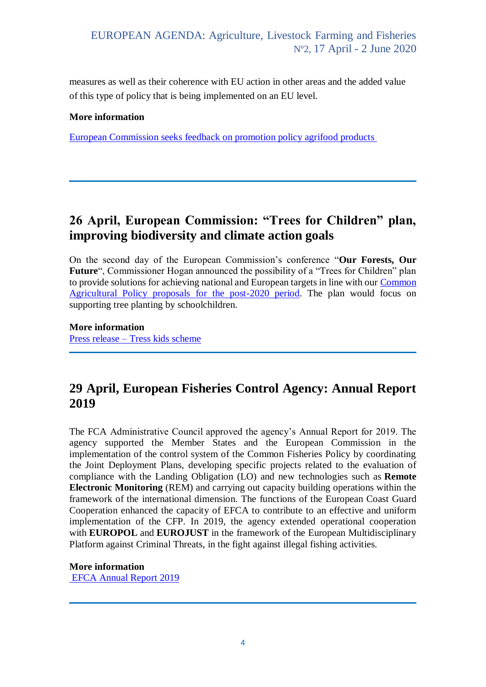measures as well as their coherence with EU action in other areas and the added value of this type of policy that is being implemented on an EU level.

#### **More information**

[European Commission seeks feedback on promotion policy agrifood products](https://ec.europa.eu/info/news/european-commission-seeks-feedback-promotion-policy-agri-food-products-2020-may-08_es)

### **26 April, European Commission: "Trees for Children" plan, improving biodiversity and climate action goals**

On the second day of the European Commission's conference "**Our Forests, Our**  Future", Commissioner Hogan announced the possibility of a "Trees for Children" plan to provide solutions for achieving national and European targets in line with our [Common](https://ec.europa.eu/info/food-farming-fisheries/key-policies/common-agricultural-policy/future-cap_es)  [Agricultural Policy proposals for the post-2020 period.](https://ec.europa.eu/info/food-farming-fisheries/key-policies/common-agricultural-policy/future-cap_es) The plan would focus on supporting tree planting by schoolchildren.

**More information** Press release – [Tress kids scheme](https://ec.europa.eu/info/news/commissioner-announces-trees-kids-scheme-2019-apr-26_es)

### **29 April, European Fisheries Control Agency: Annual Report 2019**

The FCA Administrative Council approved the agency's Annual Report for 2019. The agency supported the Member States and the European Commission in the implementation of the control system of the Common Fisheries Policy by coordinating the Joint Deployment Plans, developing specific projects related to the evaluation of compliance with the Landing Obligation (LO) and new technologies such as **Remote Electronic Monitoring** (REM) and carrying out capacity building operations within the framework of the international dimension. The functions of the European Coast Guard Cooperation enhanced the capacity of EFCA to contribute to an effective and uniform implementation of the CFP. In 2019, the agency extended operational cooperation with **EUROPOL** and **EUROJUST** in the framework of the European Multidisciplinary Platform against Criminal Threats, in the fight against illegal fishing activities.

**More information** [EFCA Annual Report 2019](https://www.efca.europa.eu/es/content/pressroom/efca-annual-report-2019-adopted-agency%E2%80%99s-administrative-board)